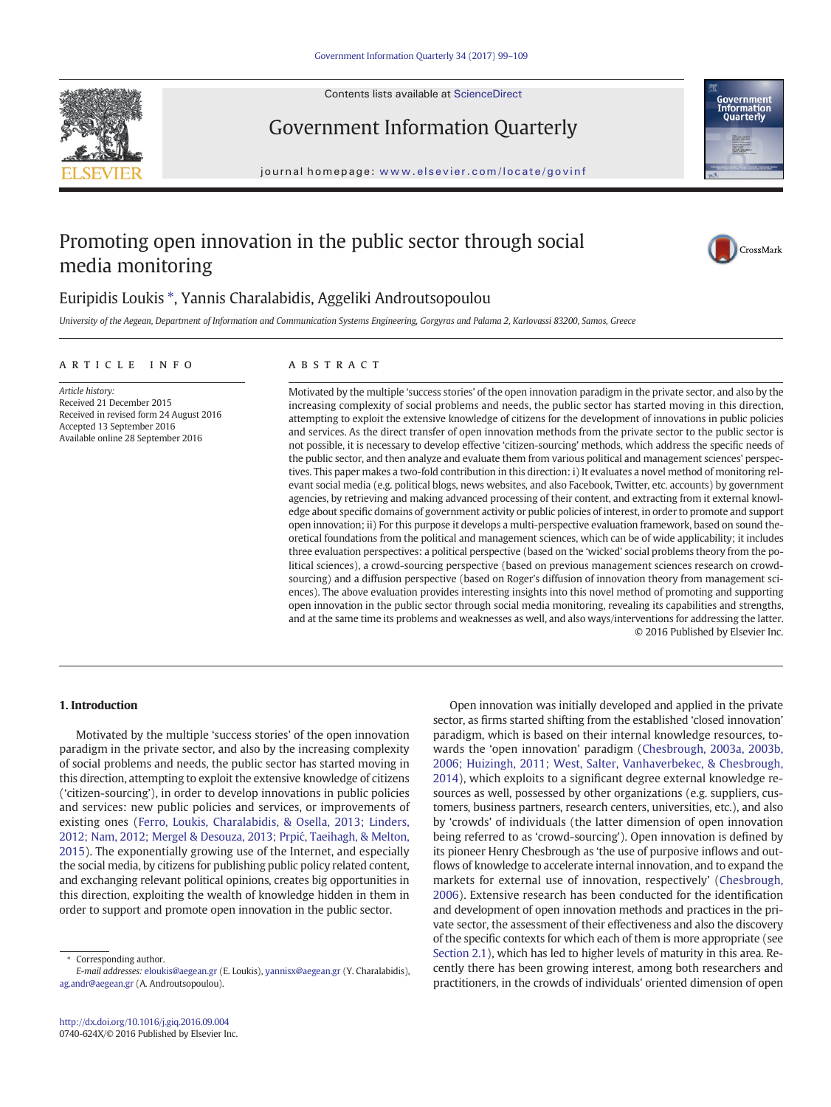

Contents lists available at ScienceDirect

# Government Information Quarterly



journal homepage: <www.elsevier.com/locate/govinf>

# Promoting open innovation in the public sector through social media monitoring



# Euripidis Loukis ⁎, Yannis Charalabidis, Aggeliki Androutsopoulou

University of the Aegean, Department of Information and Communication Systems Engineering, Gorgyras and Palama 2, Karlovassi 83200, Samos, Greece

# article info abstract

Article history: Received 21 December 2015 Received in revised form 24 August 2016 Accepted 13 September 2016 Available online 28 September 2016

Motivated by the multiple 'success stories' of the open innovation paradigm in the private sector, and also by the increasing complexity of social problems and needs, the public sector has started moving in this direction, attempting to exploit the extensive knowledge of citizens for the development of innovations in public policies and services. As the direct transfer of open innovation methods from the private sector to the public sector is not possible, it is necessary to develop effective 'citizen-sourcing' methods, which address the specific needs of the public sector, and then analyze and evaluate them from various political and management sciences' perspectives. This paper makes a two-fold contribution in this direction: i) It evaluates a novel method of monitoring relevant social media (e.g. political blogs, news websites, and also Facebook, Twitter, etc. accounts) by government agencies, by retrieving and making advanced processing of their content, and extracting from it external knowledge about specific domains of government activity or public policies of interest, in order to promote and support open innovation; ii) For this purpose it develops a multi-perspective evaluation framework, based on sound theoretical foundations from the political and management sciences, which can be of wide applicability; it includes three evaluation perspectives: a political perspective (based on the 'wicked' social problems theory from the political sciences), a crowd-sourcing perspective (based on previous management sciences research on crowdsourcing) and a diffusion perspective (based on Roger's diffusion of innovation theory from management sciences). The above evaluation provides interesting insights into this novel method of promoting and supporting open innovation in the public sector through social media monitoring, revealing its capabilities and strengths, and at the same time its problems and weaknesses as well, and also ways/interventions for addressing the latter. © 2016 Published by Elsevier Inc.

# 1. Introduction

Motivated by the multiple 'success stories' of the open innovation paradigm in the private sector, and also by the increasing complexity of social problems and needs, the public sector has started moving in this direction, attempting to exploit the extensive knowledge of citizens ('citizen-sourcing'), in order to develop innovations in public policies and services: new public policies and services, or improvements of existing ones [\(Ferro, Loukis, Charalabidis, & Osella, 2013; Linders,](#page-10-0) [2012; Nam, 2012; Mergel & Desouza, 2013; Prpi](#page-10-0)ć, Taeihagh, & Melton, [2015\)](#page-10-0). The exponentially growing use of the Internet, and especially the social media, by citizens for publishing public policy related content, and exchanging relevant political opinions, creates big opportunities in this direction, exploiting the wealth of knowledge hidden in them in order to support and promote open innovation in the public sector.

Open innovation was initially developed and applied in the private sector, as firms started shifting from the established 'closed innovation' paradigm, which is based on their internal knowledge resources, towards the 'open innovation' paradigm ([Chesbrough, 2003a, 2003b,](#page-9-0) [2006; Huizingh, 2011; West, Salter, Vanhaverbekec, & Chesbrough,](#page-9-0) [2014\)](#page-9-0), which exploits to a significant degree external knowledge resources as well, possessed by other organizations (e.g. suppliers, customers, business partners, research centers, universities, etc.), and also by 'crowds' of individuals (the latter dimension of open innovation being referred to as 'crowd-sourcing'). Open innovation is defined by its pioneer Henry Chesbrough as 'the use of purposive inflows and outflows of knowledge to accelerate internal innovation, and to expand the markets for external use of innovation, respectively' ([Chesbrough,](#page-10-0) [2006\)](#page-10-0). Extensive research has been conducted for the identification and development of open innovation methods and practices in the private sector, the assessment of their effectiveness and also the discovery of the specific contexts for which each of them is more appropriate (see [Section 2.1](#page-1-0)), which has led to higher levels of maturity in this area. Recently there has been growing interest, among both researchers and practitioners, in the crowds of individuals' oriented dimension of open

Corresponding author.

E-mail addresses: eloukis@aegean.gr (E. Loukis), yannisx@aegean.gr (Y. Charalabidis), [ag.andr@aegean.gr](mailto:ag.andr@aegean.gr) (A. Androutsopoulou).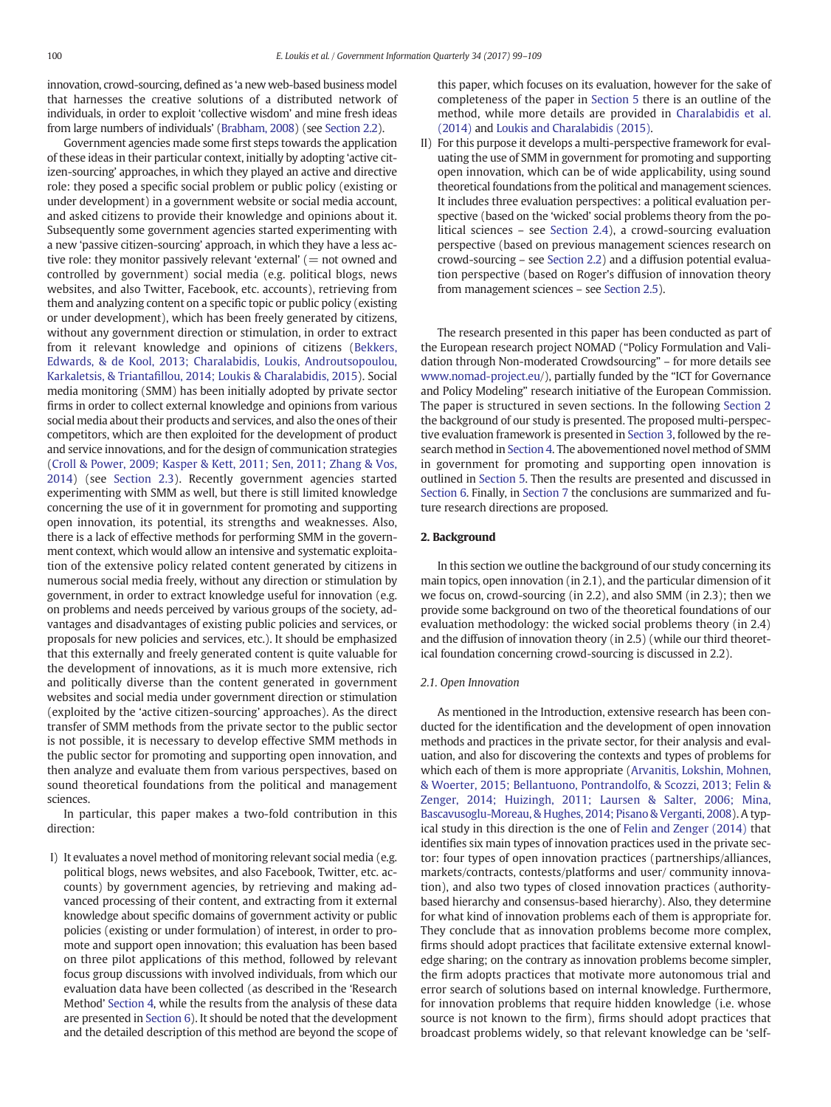<span id="page-1-0"></span>innovation, crowd-sourcing, defined as 'a new web-based business model that harnesses the creative solutions of a distributed network of individuals, in order to exploit 'collective wisdom' and mine fresh ideas from large numbers of individuals' ([Brabham, 2008](#page-9-0)) (see [Section 2.2\)](#page-2-0).

Government agencies made some first steps towards the application of these ideas in their particular context, initially by adopting 'active citizen-sourcing' approaches, in which they played an active and directive role: they posed a specific social problem or public policy (existing or under development) in a government website or social media account, and asked citizens to provide their knowledge and opinions about it. Subsequently some government agencies started experimenting with a new 'passive citizen-sourcing' approach, in which they have a less active role: they monitor passively relevant 'external'  $(=$  not owned and controlled by government) social media (e.g. political blogs, news websites, and also Twitter, Facebook, etc. accounts), retrieving from them and analyzing content on a specific topic or public policy (existing or under development), which has been freely generated by citizens, without any government direction or stimulation, in order to extract from it relevant knowledge and opinions of citizens ([Bekkers,](#page-9-0) [Edwards, & de Kool, 2013; Charalabidis, Loukis, Androutsopoulou,](#page-9-0) Karkaletsis, & Triantafi[llou, 2014; Loukis & Charalabidis, 2015](#page-9-0)). Social media monitoring (SMM) has been initially adopted by private sector firms in order to collect external knowledge and opinions from various social media about their products and services, and also the ones of their competitors, which are then exploited for the development of product and service innovations, and for the design of communication strategies [\(Croll & Power, 2009; Kasper & Kett, 2011; Sen, 2011; Zhang & Vos,](#page-10-0) [2014](#page-10-0)) (see [Section 2.3\)](#page-2-0). Recently government agencies started experimenting with SMM as well, but there is still limited knowledge concerning the use of it in government for promoting and supporting open innovation, its potential, its strengths and weaknesses. Also, there is a lack of effective methods for performing SMM in the government context, which would allow an intensive and systematic exploitation of the extensive policy related content generated by citizens in numerous social media freely, without any direction or stimulation by government, in order to extract knowledge useful for innovation (e.g. on problems and needs perceived by various groups of the society, advantages and disadvantages of existing public policies and services, or proposals for new policies and services, etc.). It should be emphasized that this externally and freely generated content is quite valuable for the development of innovations, as it is much more extensive, rich and politically diverse than the content generated in government websites and social media under government direction or stimulation (exploited by the 'active citizen-sourcing' approaches). As the direct transfer of SMM methods from the private sector to the public sector is not possible, it is necessary to develop effective SMM methods in the public sector for promoting and supporting open innovation, and then analyze and evaluate them from various perspectives, based on sound theoretical foundations from the political and management sciences.

In particular, this paper makes a two-fold contribution in this direction:

I) It evaluates a novel method of monitoring relevant social media (e.g. political blogs, news websites, and also Facebook, Twitter, etc. accounts) by government agencies, by retrieving and making advanced processing of their content, and extracting from it external knowledge about specific domains of government activity or public policies (existing or under formulation) of interest, in order to promote and support open innovation; this evaluation has been based on three pilot applications of this method, followed by relevant focus group discussions with involved individuals, from which our evaluation data have been collected (as described in the 'Research Method' [Section 4](#page-4-0), while the results from the analysis of these data are presented in [Section 6](#page-6-0)). It should be noted that the development and the detailed description of this method are beyond the scope of this paper, which focuses on its evaluation, however for the sake of completeness of the paper in [Section 5](#page-5-0) there is an outline of the method, while more details are provided in [Charalabidis et al.](#page-9-0) [\(2014\)](#page-9-0) and [Loukis and Charalabidis \(2015\)](#page-10-0).

II) For this purpose it develops a multi-perspective framework for evaluating the use of SMM in government for promoting and supporting open innovation, which can be of wide applicability, using sound theoretical foundations from the political and management sciences. It includes three evaluation perspectives: a political evaluation perspective (based on the 'wicked' social problems theory from the political sciences – see [Section 2.4](#page-3-0)), a crowd-sourcing evaluation perspective (based on previous management sciences research on crowd-sourcing – see [Section 2.2](#page-2-0)) and a diffusion potential evaluation perspective (based on Roger's diffusion of innovation theory from management sciences – see [Section 2.5\)](#page-3-0).

The research presented in this paper has been conducted as part of the European research project NOMAD ("Policy Formulation and Validation through Non-moderated Crowdsourcing" – for more details see [www.nomad-project.eu](http://www.nomad-project.eu)/), partially funded by the "ICT for Governance and Policy Modeling" research initiative of the European Commission. The paper is structured in seven sections. In the following Section 2 the background of our study is presented. The proposed multi-perspective evaluation framework is presented in [Section 3](#page-3-0), followed by the research method in [Section 4.](#page-4-0) The abovementioned novel method of SMM in government for promoting and supporting open innovation is outlined in [Section 5.](#page-5-0) Then the results are presented and discussed in [Section 6](#page-6-0). Finally, in [Section 7](#page-8-0) the conclusions are summarized and future research directions are proposed.

### 2. Background

In this section we outline the background of our study concerning its main topics, open innovation (in 2.1), and the particular dimension of it we focus on, crowd-sourcing (in 2.2), and also SMM (in 2.3); then we provide some background on two of the theoretical foundations of our evaluation methodology: the wicked social problems theory (in 2.4) and the diffusion of innovation theory (in 2.5) (while our third theoretical foundation concerning crowd-sourcing is discussed in 2.2).

# 2.1. Open Innovation

As mentioned in the Introduction, extensive research has been conducted for the identification and the development of open innovation methods and practices in the private sector, for their analysis and evaluation, and also for discovering the contexts and types of problems for which each of them is more appropriate ([Arvanitis, Lokshin, Mohnen,](#page-9-0) [& Woerter, 2015; Bellantuono, Pontrandolfo, & Scozzi, 2013; Felin &](#page-9-0) [Zenger, 2014; Huizingh, 2011; Laursen & Salter, 2006; Mina,](#page-9-0) [Bascavusoglu-Moreau, & Hughes, 2014; Pisano & Verganti, 2008\)](#page-9-0). A typical study in this direction is the one of [Felin and Zenger \(2014\)](#page-10-0) that identifies six main types of innovation practices used in the private sector: four types of open innovation practices (partnerships/alliances, markets/contracts, contests/platforms and user/ community innovation), and also two types of closed innovation practices (authoritybased hierarchy and consensus-based hierarchy). Also, they determine for what kind of innovation problems each of them is appropriate for. They conclude that as innovation problems become more complex, firms should adopt practices that facilitate extensive external knowledge sharing; on the contrary as innovation problems become simpler, the firm adopts practices that motivate more autonomous trial and error search of solutions based on internal knowledge. Furthermore, for innovation problems that require hidden knowledge (i.e. whose source is not known to the firm), firms should adopt practices that broadcast problems widely, so that relevant knowledge can be 'self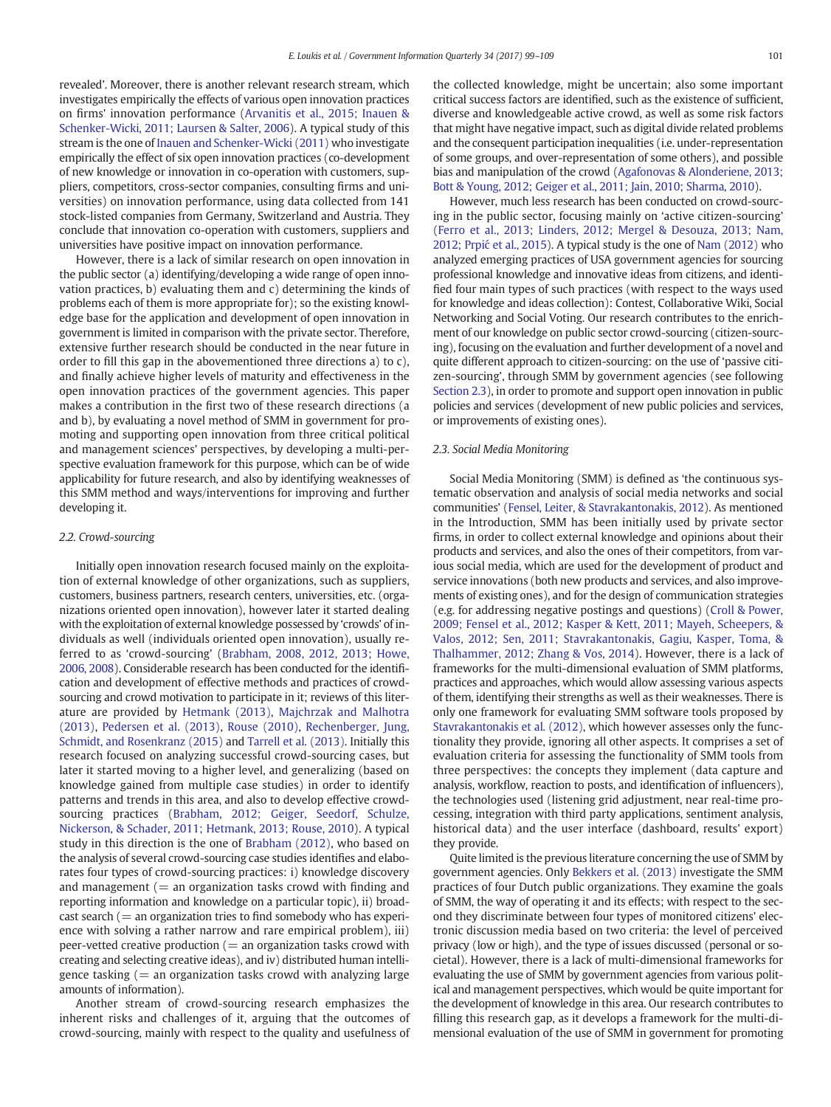<span id="page-2-0"></span>revealed'. Moreover, there is another relevant research stream, which investigates empirically the effects of various open innovation practices on firms' innovation performance ([Arvanitis et al., 2015; Inauen &](#page-9-0) [Schenker-Wicki, 2011; Laursen & Salter, 2006](#page-9-0)). A typical study of this stream is the one of [Inauen and Schenker-Wicki \(2011\)](#page-10-0) who investigate empirically the effect of six open innovation practices (co-development of new knowledge or innovation in co-operation with customers, suppliers, competitors, cross-sector companies, consulting firms and universities) on innovation performance, using data collected from 141 stock-listed companies from Germany, Switzerland and Austria. They conclude that innovation co-operation with customers, suppliers and universities have positive impact on innovation performance.

However, there is a lack of similar research on open innovation in the public sector (a) identifying/developing a wide range of open innovation practices, b) evaluating them and c) determining the kinds of problems each of them is more appropriate for); so the existing knowledge base for the application and development of open innovation in government is limited in comparison with the private sector. Therefore, extensive further research should be conducted in the near future in order to fill this gap in the abovementioned three directions a) to c), and finally achieve higher levels of maturity and effectiveness in the open innovation practices of the government agencies. This paper makes a contribution in the first two of these research directions (a and b), by evaluating a novel method of SMM in government for promoting and supporting open innovation from three critical political and management sciences' perspectives, by developing a multi-perspective evaluation framework for this purpose, which can be of wide applicability for future research, and also by identifying weaknesses of this SMM method and ways/interventions for improving and further developing it.

#### 2.2. Crowd-sourcing

Initially open innovation research focused mainly on the exploitation of external knowledge of other organizations, such as suppliers, customers, business partners, research centers, universities, etc. (organizations oriented open innovation), however later it started dealing with the exploitation of external knowledge possessed by 'crowds' of individuals as well (individuals oriented open innovation), usually referred to as 'crowd-sourcing' [\(Brabham, 2008, 2012, 2013; Howe,](#page-9-0) [2006, 2008\)](#page-9-0). Considerable research has been conducted for the identification and development of effective methods and practices of crowdsourcing and crowd motivation to participate in it; reviews of this literature are provided by [Hetmank \(2013\)](#page-10-0), [Majchrzak and Malhotra](#page-10-0) [\(2013\)](#page-10-0), [Pedersen et al. \(2013\)](#page-10-0), [Rouse \(2010\)](#page-10-0), [Rechenberger, Jung,](#page-10-0) [Schmidt, and Rosenkranz \(2015\)](#page-10-0) and [Tarrell et al. \(2013\)](#page-10-0). Initially this research focused on analyzing successful crowd-sourcing cases, but later it started moving to a higher level, and generalizing (based on knowledge gained from multiple case studies) in order to identify patterns and trends in this area, and also to develop effective crowdsourcing practices [\(Brabham, 2012; Geiger, Seedorf, Schulze,](#page-9-0) [Nickerson, & Schader, 2011; Hetmank, 2013; Rouse, 2010\)](#page-9-0). A typical study in this direction is the one of [Brabham \(2012\)](#page-9-0), who based on the analysis of several crowd-sourcing case studies identifies and elaborates four types of crowd-sourcing practices: i) knowledge discovery and management  $(=$  an organization tasks crowd with finding and reporting information and knowledge on a particular topic), ii) broadcast search  $(=$  an organization tries to find somebody who has experience with solving a rather narrow and rare empirical problem), iii) peer-vetted creative production ( $=$  an organization tasks crowd with creating and selecting creative ideas), and iv) distributed human intelligence tasking  $(=$  an organization tasks crowd with analyzing large amounts of information).

Another stream of crowd-sourcing research emphasizes the inherent risks and challenges of it, arguing that the outcomes of crowd-sourcing, mainly with respect to the quality and usefulness of the collected knowledge, might be uncertain; also some important critical success factors are identified, such as the existence of sufficient, diverse and knowledgeable active crowd, as well as some risk factors that might have negative impact, such as digital divide related problems and the consequent participation inequalities (i.e. under-representation of some groups, and over-representation of some others), and possible bias and manipulation of the crowd [\(Agafonovas & Alonderiene, 2013;](#page-9-0) [Bott & Young, 2012; Geiger et al., 2011; Jain, 2010; Sharma, 2010\)](#page-9-0).

However, much less research has been conducted on crowd-sourcing in the public sector, focusing mainly on 'active citizen-sourcing' [\(Ferro et al., 2013; Linders, 2012; Mergel & Desouza, 2013; Nam,](#page-10-0) 2012; Prpić [et al., 2015\)](#page-10-0). A typical study is the one of [Nam \(2012\)](#page-10-0) who analyzed emerging practices of USA government agencies for sourcing professional knowledge and innovative ideas from citizens, and identified four main types of such practices (with respect to the ways used for knowledge and ideas collection): Contest, Collaborative Wiki, Social Networking and Social Voting. Our research contributes to the enrichment of our knowledge on public sector crowd-sourcing (citizen-sourcing), focusing on the evaluation and further development of a novel and quite different approach to citizen-sourcing: on the use of 'passive citizen-sourcing', through SMM by government agencies (see following Section 2.3), in order to promote and support open innovation in public policies and services (development of new public policies and services, or improvements of existing ones).

# 2.3. Social Media Monitoring

Social Media Monitoring (SMM) is defined as 'the continuous systematic observation and analysis of social media networks and social communities' [\(Fensel, Leiter, & Stavrakantonakis, 2012\)](#page-10-0). As mentioned in the Introduction, SMM has been initially used by private sector firms, in order to collect external knowledge and opinions about their products and services, and also the ones of their competitors, from various social media, which are used for the development of product and service innovations (both new products and services, and also improvements of existing ones), and for the design of communication strategies (e.g. for addressing negative postings and questions) [\(Croll & Power,](#page-10-0) [2009; Fensel et al., 2012; Kasper & Kett, 2011; Mayeh, Scheepers, &](#page-10-0) [Valos, 2012; Sen, 2011; Stavrakantonakis, Gagiu, Kasper, Toma, &](#page-10-0) [Thalhammer, 2012; Zhang & Vos, 2014\)](#page-10-0). However, there is a lack of frameworks for the multi-dimensional evaluation of SMM platforms, practices and approaches, which would allow assessing various aspects of them, identifying their strengths as well as their weaknesses. There is only one framework for evaluating SMM software tools proposed by [Stavrakantonakis et al. \(2012\),](#page-10-0) which however assesses only the functionality they provide, ignoring all other aspects. It comprises a set of evaluation criteria for assessing the functionality of SMM tools from three perspectives: the concepts they implement (data capture and analysis, workflow, reaction to posts, and identification of influencers), the technologies used (listening grid adjustment, near real-time processing, integration with third party applications, sentiment analysis, historical data) and the user interface (dashboard, results' export) they provide.

Quite limited is the previous literature concerning the use of SMM by government agencies. Only [Bekkers et al. \(2013\)](#page-9-0) investigate the SMM practices of four Dutch public organizations. They examine the goals of SMM, the way of operating it and its effects; with respect to the second they discriminate between four types of monitored citizens' electronic discussion media based on two criteria: the level of perceived privacy (low or high), and the type of issues discussed (personal or societal). However, there is a lack of multi-dimensional frameworks for evaluating the use of SMM by government agencies from various political and management perspectives, which would be quite important for the development of knowledge in this area. Our research contributes to filling this research gap, as it develops a framework for the multi-dimensional evaluation of the use of SMM in government for promoting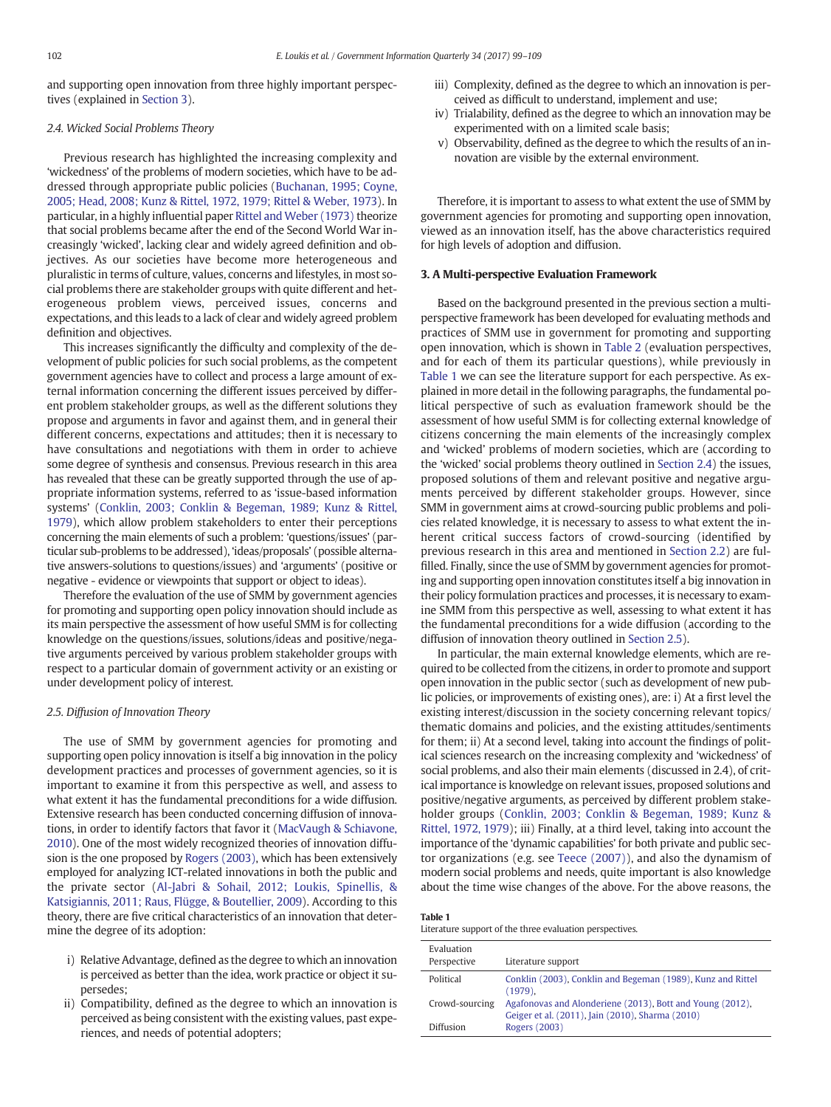<span id="page-3-0"></span>and supporting open innovation from three highly important perspectives (explained in Section 3).

## 2.4. Wicked Social Problems Theory

Previous research has highlighted the increasing complexity and 'wickedness' of the problems of modern societies, which have to be addressed through appropriate public policies ([Buchanan, 1995; Coyne,](#page-9-0) [2005; Head, 2008; Kunz & Rittel, 1972, 1979; Rittel & Weber, 1973](#page-9-0)). In particular, in a highly influential paper [Rittel and Weber \(1973\)](#page-10-0) theorize that social problems became after the end of the Second World War increasingly 'wicked', lacking clear and widely agreed definition and objectives. As our societies have become more heterogeneous and pluralistic in terms of culture, values, concerns and lifestyles, in most social problems there are stakeholder groups with quite different and heterogeneous problem views, perceived issues, concerns and expectations, and this leads to a lack of clear and widely agreed problem definition and objectives.

This increases significantly the difficulty and complexity of the development of public policies for such social problems, as the competent government agencies have to collect and process a large amount of external information concerning the different issues perceived by different problem stakeholder groups, as well as the different solutions they propose and arguments in favor and against them, and in general their different concerns, expectations and attitudes; then it is necessary to have consultations and negotiations with them in order to achieve some degree of synthesis and consensus. Previous research in this area has revealed that these can be greatly supported through the use of appropriate information systems, referred to as 'issue-based information systems' ([Conklin, 2003; Conklin & Begeman, 1989; Kunz & Rittel,](#page-10-0) [1979\)](#page-10-0), which allow problem stakeholders to enter their perceptions concerning the main elements of such a problem: 'questions/issues' (particular sub-problems to be addressed), 'ideas/proposals' (possible alternative answers-solutions to questions/issues) and 'arguments' (positive or negative - evidence or viewpoints that support or object to ideas).

Therefore the evaluation of the use of SMM by government agencies for promoting and supporting open policy innovation should include as its main perspective the assessment of how useful SMM is for collecting knowledge on the questions/issues, solutions/ideas and positive/negative arguments perceived by various problem stakeholder groups with respect to a particular domain of government activity or an existing or under development policy of interest.

# 2.5. Diffusion of Innovation Theory

The use of SMM by government agencies for promoting and supporting open policy innovation is itself a big innovation in the policy development practices and processes of government agencies, so it is important to examine it from this perspective as well, and assess to what extent it has the fundamental preconditions for a wide diffusion. Extensive research has been conducted concerning diffusion of innovations, in order to identify factors that favor it [\(MacVaugh & Schiavone,](#page-10-0) [2010\)](#page-10-0). One of the most widely recognized theories of innovation diffusion is the one proposed by [Rogers \(2003\)](#page-10-0), which has been extensively employed for analyzing ICT-related innovations in both the public and the private sector [\(Al-Jabri & Sohail, 2012; Loukis, Spinellis, &](#page-9-0) [Katsigiannis, 2011; Raus, Flügge, & Boutellier, 2009](#page-9-0)). According to this theory, there are five critical characteristics of an innovation that determine the degree of its adoption:

- i) Relative Advantage, defined as the degree to which an innovation is perceived as better than the idea, work practice or object it supersedes;
- ii) Compatibility, defined as the degree to which an innovation is perceived as being consistent with the existing values, past experiences, and needs of potential adopters;
- iii) Complexity, defined as the degree to which an innovation is perceived as difficult to understand, implement and use;
- iv) Trialability, defined as the degree to which an innovation may be experimented with on a limited scale basis;
- v) Observability, defined as the degree to which the results of an innovation are visible by the external environment.

Therefore, it is important to assess to what extent the use of SMM by government agencies for promoting and supporting open innovation, viewed as an innovation itself, has the above characteristics required for high levels of adoption and diffusion.

# 3. A Multi-perspective Evaluation Framework

Based on the background presented in the previous section a multiperspective framework has been developed for evaluating methods and practices of SMM use in government for promoting and supporting open innovation, which is shown in [Table 2](#page-4-0) (evaluation perspectives, and for each of them its particular questions), while previously in Table 1 we can see the literature support for each perspective. As explained in more detail in the following paragraphs, the fundamental political perspective of such as evaluation framework should be the assessment of how useful SMM is for collecting external knowledge of citizens concerning the main elements of the increasingly complex and 'wicked' problems of modern societies, which are (according to the 'wicked' social problems theory outlined in Section 2.4) the issues, proposed solutions of them and relevant positive and negative arguments perceived by different stakeholder groups. However, since SMM in government aims at crowd-sourcing public problems and policies related knowledge, it is necessary to assess to what extent the inherent critical success factors of crowd-sourcing (identified by previous research in this area and mentioned in [Section 2.2](#page-2-0)) are fulfilled. Finally, since the use of SMM by government agencies for promoting and supporting open innovation constitutes itself a big innovation in their policy formulation practices and processes, it is necessary to examine SMM from this perspective as well, assessing to what extent it has the fundamental preconditions for a wide diffusion (according to the diffusion of innovation theory outlined in Section 2.5).

In particular, the main external knowledge elements, which are required to be collected from the citizens, in order to promote and support open innovation in the public sector (such as development of new public policies, or improvements of existing ones), are: i) At a first level the existing interest/discussion in the society concerning relevant topics/ thematic domains and policies, and the existing attitudes/sentiments for them; ii) At a second level, taking into account the findings of political sciences research on the increasing complexity and 'wickedness' of social problems, and also their main elements (discussed in 2.4), of critical importance is knowledge on relevant issues, proposed solutions and positive/negative arguments, as perceived by different problem stakeholder groups ([Conklin, 2003; Conklin & Begeman, 1989; Kunz &](#page-10-0) [Rittel, 1972, 1979\)](#page-10-0); iii) Finally, at a third level, taking into account the importance of the 'dynamic capabilities' for both private and public sector organizations (e.g. see [Teece \(2007\)\)](#page-10-0), and also the dynamism of modern social problems and needs, quite important is also knowledge about the time wise changes of the above. For the above reasons, the

#### Table 1 Literature support of the three evaluation perspectives.

| Evaluation<br>Perspective | Literature support                                                                                            |
|---------------------------|---------------------------------------------------------------------------------------------------------------|
| Political                 | Conklin (2003), Conklin and Begeman (1989), Kunz and Rittel<br>(1979).                                        |
| Crowd-sourcing            | Agafonovas and Alonderiene (2013), Bott and Young (2012),<br>Geiger et al. (2011), Jain (2010), Sharma (2010) |
| Diffusion                 | Rogers (2003)                                                                                                 |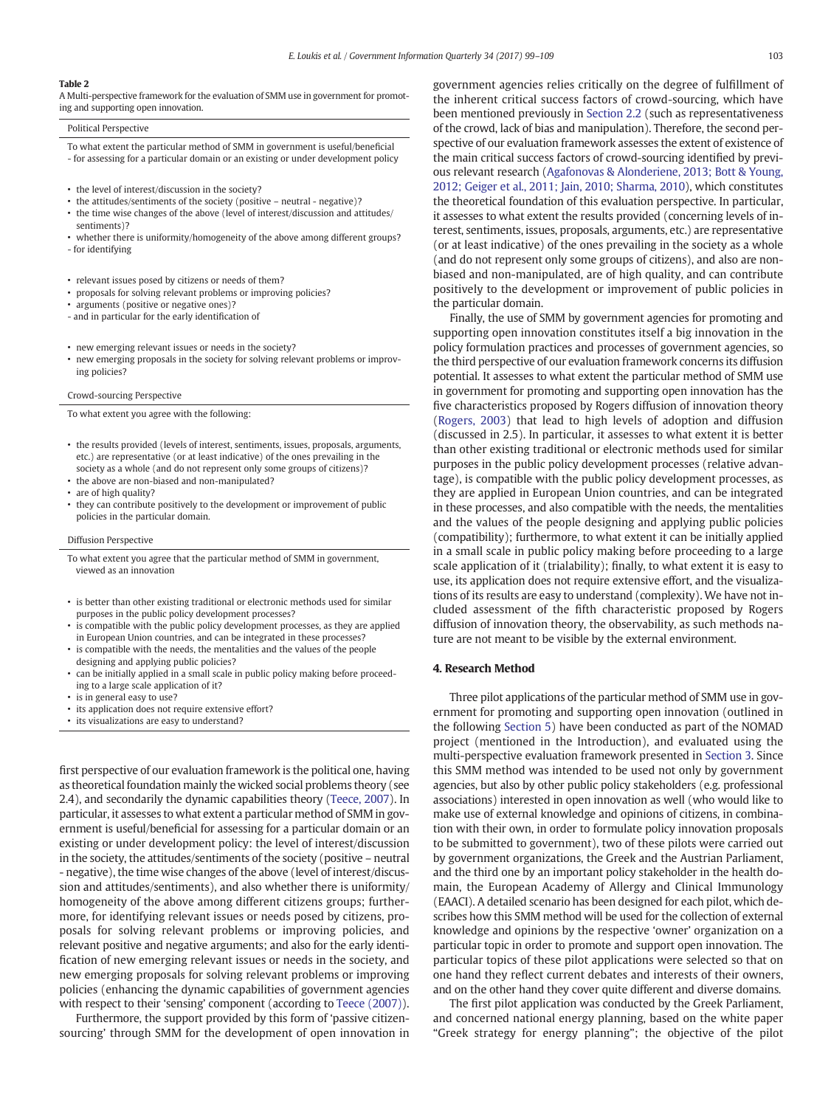#### <span id="page-4-0"></span>Table 2

A Multi-perspective framework for the evaluation of SMM use in government for promoting and supporting open innovation.

| Political Perspective                                                                                                                                                |  |
|----------------------------------------------------------------------------------------------------------------------------------------------------------------------|--|
| To what extent the particular method of SMM in government is useful/beneficial<br>- for assessing for a particular domain or an existing or under development policy |  |

<sup>•</sup> the level of interest/discussion in the society?

- the attitudes/sentiments of the society (positive neutral negative)?
- the time wise changes of the above (level of interest/discussion and attitudes/ sentiments)?
- whether there is uniformity/homogeneity of the above among different groups? - for identifying
- relevant issues posed by citizens or needs of them?
- proposals for solving relevant problems or improving policies?
- arguments (positive or negative ones)?
- and in particular for the early identification of
- new emerging relevant issues or needs in the society?
- new emerging proposals in the society for solving relevant problems or improving policies?
- Crowd-sourcing Perspective

To what extent you agree with the following:

- the results provided (levels of interest, sentiments, issues, proposals, arguments, etc.) are representative (or at least indicative) of the ones prevailing in the society as a whole (and do not represent only some groups of citizens)? • the above are non-biased and non-manipulated?
- are of high quality?
- they can contribute positively to the development or improvement of public
- policies in the particular domain.

#### Diffusion Perspective

- To what extent you agree that the particular method of SMM in government, viewed as an innovation
- is better than other existing traditional or electronic methods used for similar purposes in the public policy development processes?
- is compatible with the public policy development processes, as they are applied in European Union countries, and can be integrated in these processes?
- is compatible with the needs, the mentalities and the values of the people designing and applying public policies?
- can be initially applied in a small scale in public policy making before proceeding to a large scale application of it?
- is in general easy to use?
- its application does not require extensive effort?
- its visualizations are easy to understand?

first perspective of our evaluation framework is the political one, having as theoretical foundation mainly the wicked social problems theory (see 2.4), and secondarily the dynamic capabilities theory [\(Teece, 2007](#page-10-0)). In particular, it assesses to what extent a particular method of SMM in government is useful/beneficial for assessing for a particular domain or an existing or under development policy: the level of interest/discussion in the society, the attitudes/sentiments of the society (positive – neutral - negative), the time wise changes of the above (level of interest/discussion and attitudes/sentiments), and also whether there is uniformity/ homogeneity of the above among different citizens groups; furthermore, for identifying relevant issues or needs posed by citizens, proposals for solving relevant problems or improving policies, and relevant positive and negative arguments; and also for the early identification of new emerging relevant issues or needs in the society, and new emerging proposals for solving relevant problems or improving policies (enhancing the dynamic capabilities of government agencies with respect to their 'sensing' component (according to [Teece \(2007\)](#page-10-0)).

Furthermore, the support provided by this form of 'passive citizensourcing' through SMM for the development of open innovation in government agencies relies critically on the degree of fulfillment of the inherent critical success factors of crowd-sourcing, which have been mentioned previously in [Section 2.2](#page-2-0) (such as representativeness of the crowd, lack of bias and manipulation). Therefore, the second perspective of our evaluation framework assesses the extent of existence of the main critical success factors of crowd-sourcing identified by previous relevant research [\(Agafonovas & Alonderiene, 2013; Bott & Young,](#page-9-0) [2012; Geiger et al., 2011; Jain, 2010; Sharma, 2010](#page-9-0)), which constitutes the theoretical foundation of this evaluation perspective. In particular, it assesses to what extent the results provided (concerning levels of interest, sentiments, issues, proposals, arguments, etc.) are representative (or at least indicative) of the ones prevailing in the society as a whole (and do not represent only some groups of citizens), and also are nonbiased and non-manipulated, are of high quality, and can contribute positively to the development or improvement of public policies in the particular domain.

Finally, the use of SMM by government agencies for promoting and supporting open innovation constitutes itself a big innovation in the policy formulation practices and processes of government agencies, so the third perspective of our evaluation framework concerns its diffusion potential. It assesses to what extent the particular method of SMM use in government for promoting and supporting open innovation has the five characteristics proposed by Rogers diffusion of innovation theory [\(Rogers, 2003](#page-10-0)) that lead to high levels of adoption and diffusion (discussed in 2.5). In particular, it assesses to what extent it is better than other existing traditional or electronic methods used for similar purposes in the public policy development processes (relative advantage), is compatible with the public policy development processes, as they are applied in European Union countries, and can be integrated in these processes, and also compatible with the needs, the mentalities and the values of the people designing and applying public policies (compatibility); furthermore, to what extent it can be initially applied in a small scale in public policy making before proceeding to a large scale application of it (trialability); finally, to what extent it is easy to use, its application does not require extensive effort, and the visualizations of its results are easy to understand (complexity). We have not included assessment of the fifth characteristic proposed by Rogers diffusion of innovation theory, the observability, as such methods nature are not meant to be visible by the external environment.

# 4. Research Method

Three pilot applications of the particular method of SMM use in government for promoting and supporting open innovation (outlined in the following [Section 5](#page-5-0)) have been conducted as part of the NOMAD project (mentioned in the Introduction), and evaluated using the multi-perspective evaluation framework presented in [Section 3.](#page-3-0) Since this SMM method was intended to be used not only by government agencies, but also by other public policy stakeholders (e.g. professional associations) interested in open innovation as well (who would like to make use of external knowledge and opinions of citizens, in combination with their own, in order to formulate policy innovation proposals to be submitted to government), two of these pilots were carried out by government organizations, the Greek and the Austrian Parliament, and the third one by an important policy stakeholder in the health domain, the European Academy of Allergy and Clinical Immunology (EAACI). A detailed scenario has been designed for each pilot, which describes how this SMM method will be used for the collection of external knowledge and opinions by the respective 'owner' organization on a particular topic in order to promote and support open innovation. The particular topics of these pilot applications were selected so that on one hand they reflect current debates and interests of their owners, and on the other hand they cover quite different and diverse domains.

The first pilot application was conducted by the Greek Parliament, and concerned national energy planning, based on the white paper "Greek strategy for energy planning"; the objective of the pilot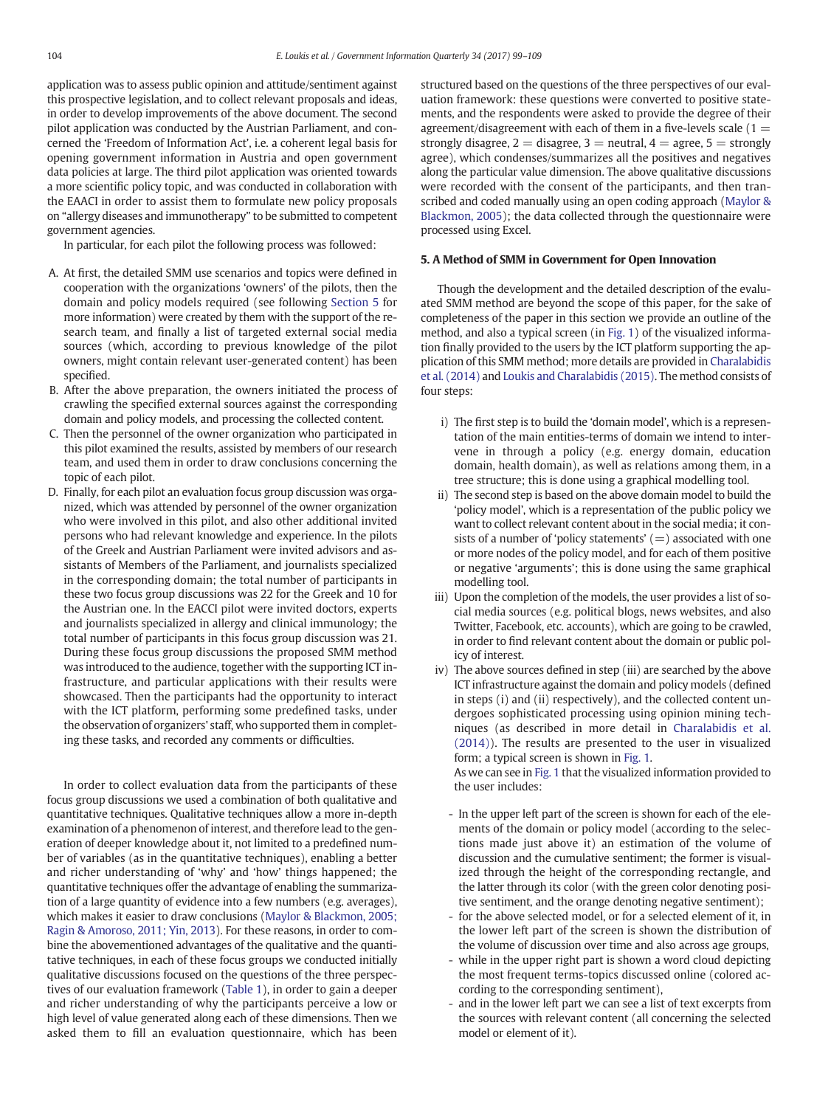<span id="page-5-0"></span>application was to assess public opinion and attitude/sentiment against this prospective legislation, and to collect relevant proposals and ideas, in order to develop improvements of the above document. The second pilot application was conducted by the Austrian Parliament, and concerned the 'Freedom of Information Act', i.e. a coherent legal basis for opening government information in Austria and open government data policies at large. The third pilot application was oriented towards a more scientific policy topic, and was conducted in collaboration with the EAACI in order to assist them to formulate new policy proposals on "allergy diseases and immunotherapy" to be submitted to competent government agencies.

In particular, for each pilot the following process was followed:

- A. At first, the detailed SMM use scenarios and topics were defined in cooperation with the organizations 'owners' of the pilots, then the domain and policy models required (see following Section 5 for more information) were created by them with the support of the research team, and finally a list of targeted external social media sources (which, according to previous knowledge of the pilot owners, might contain relevant user-generated content) has been specified.
- B. After the above preparation, the owners initiated the process of crawling the specified external sources against the corresponding domain and policy models, and processing the collected content.
- C. Then the personnel of the owner organization who participated in this pilot examined the results, assisted by members of our research team, and used them in order to draw conclusions concerning the topic of each pilot.
- D. Finally, for each pilot an evaluation focus group discussion was organized, which was attended by personnel of the owner organization who were involved in this pilot, and also other additional invited persons who had relevant knowledge and experience. In the pilots of the Greek and Austrian Parliament were invited advisors and assistants of Members of the Parliament, and journalists specialized in the corresponding domain; the total number of participants in these two focus group discussions was 22 for the Greek and 10 for the Austrian one. In the EACCI pilot were invited doctors, experts and journalists specialized in allergy and clinical immunology; the total number of participants in this focus group discussion was 21. During these focus group discussions the proposed SMM method was introduced to the audience, together with the supporting ICT infrastructure, and particular applications with their results were showcased. Then the participants had the opportunity to interact with the ICT platform, performing some predefined tasks, under the observation of organizers' staff, who supported them in completing these tasks, and recorded any comments or difficulties.

In order to collect evaluation data from the participants of these focus group discussions we used a combination of both qualitative and quantitative techniques. Qualitative techniques allow a more in-depth examination of a phenomenon of interest, and therefore lead to the generation of deeper knowledge about it, not limited to a predefined number of variables (as in the quantitative techniques), enabling a better and richer understanding of 'why' and 'how' things happened; the quantitative techniques offer the advantage of enabling the summarization of a large quantity of evidence into a few numbers (e.g. averages), which makes it easier to draw conclusions [\(Maylor & Blackmon, 2005;](#page-10-0) [Ragin & Amoroso, 2011; Yin, 2013\)](#page-10-0). For these reasons, in order to combine the abovementioned advantages of the qualitative and the quantitative techniques, in each of these focus groups we conducted initially qualitative discussions focused on the questions of the three perspectives of our evaluation framework [\(Table 1](#page-3-0)), in order to gain a deeper and richer understanding of why the participants perceive a low or high level of value generated along each of these dimensions. Then we asked them to fill an evaluation questionnaire, which has been structured based on the questions of the three perspectives of our evaluation framework: these questions were converted to positive statements, and the respondents were asked to provide the degree of their agreement/disagreement with each of them in a five-levels scale  $(1 =$ strongly disagree,  $2 =$  disagree,  $3 =$  neutral,  $4 =$  agree,  $5 =$  strongly agree), which condenses/summarizes all the positives and negatives along the particular value dimension. The above qualitative discussions were recorded with the consent of the participants, and then transcribed and coded manually using an open coding approach [\(Maylor &](#page-10-0) [Blackmon, 2005](#page-10-0)); the data collected through the questionnaire were processed using Excel.

# 5. A Method of SMM in Government for Open Innovation

Though the development and the detailed description of the evaluated SMM method are beyond the scope of this paper, for the sake of completeness of the paper in this section we provide an outline of the method, and also a typical screen (in [Fig. 1\)](#page-6-0) of the visualized information finally provided to the users by the ICT platform supporting the application of this SMM method; more details are provided in [Charalabidis](#page-9-0) [et al. \(2014\)](#page-9-0) and [Loukis and Charalabidis \(2015\)](#page-10-0). The method consists of four steps:

- i) The first step is to build the 'domain model', which is a representation of the main entities-terms of domain we intend to intervene in through a policy (e.g. energy domain, education domain, health domain), as well as relations among them, in a tree structure; this is done using a graphical modelling tool.
- ii) The second step is based on the above domain model to build the 'policy model', which is a representation of the public policy we want to collect relevant content about in the social media; it consists of a number of 'policy statements'  $(=)$  associated with one or more nodes of the policy model, and for each of them positive or negative 'arguments'; this is done using the same graphical modelling tool.
- iii) Upon the completion of the models, the user provides a list of social media sources (e.g. political blogs, news websites, and also Twitter, Facebook, etc. accounts), which are going to be crawled, in order to find relevant content about the domain or public policy of interest.
- iv) The above sources defined in step (iii) are searched by the above ICT infrastructure against the domain and policy models (defined in steps (i) and (ii) respectively), and the collected content undergoes sophisticated processing using opinion mining techniques (as described in more detail in [Charalabidis et al.](#page-9-0) [\(2014\)](#page-9-0)). The results are presented to the user in visualized form; a typical screen is shown in [Fig. 1.](#page-6-0)

As we can see in [Fig. 1](#page-6-0) that the visualized information provided to the user includes:

- In the upper left part of the screen is shown for each of the elements of the domain or policy model (according to the selections made just above it) an estimation of the volume of discussion and the cumulative sentiment; the former is visualized through the height of the corresponding rectangle, and the latter through its color (with the green color denoting positive sentiment, and the orange denoting negative sentiment);
- for the above selected model, or for a selected element of it, in the lower left part of the screen is shown the distribution of the volume of discussion over time and also across age groups,
- while in the upper right part is shown a word cloud depicting the most frequent terms-topics discussed online (colored according to the corresponding sentiment),
- and in the lower left part we can see a list of text excerpts from the sources with relevant content (all concerning the selected model or element of it).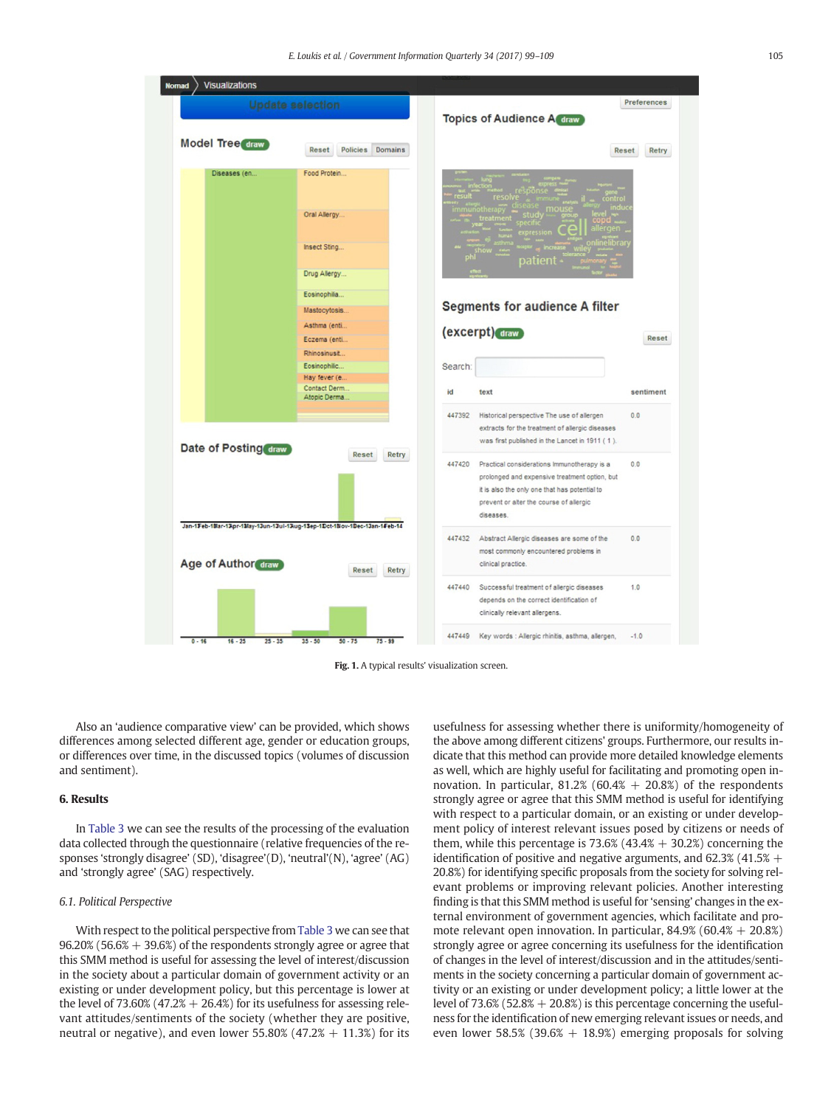<span id="page-6-0"></span>



Also an 'audience comparative view' can be provided, which shows differences among selected different age, gender or education groups, or differences over time, in the discussed topics (volumes of discussion and sentiment).

# 6. Results

In [Table 3](#page-7-0) we can see the results of the processing of the evaluation data collected through the questionnaire (relative frequencies of the responses 'strongly disagree' (SD), 'disagree'(D), 'neutral'(N), 'agree' (AG) and 'strongly agree' (SAG) respectively.

# 6.1. Political Perspective

With respect to the political perspective from [Table 3](#page-7-0) we can see that  $96.20\%$  (56.6% + 39.6%) of the respondents strongly agree or agree that this SMM method is useful for assessing the level of interest/discussion in the society about a particular domain of government activity or an existing or under development policy, but this percentage is lower at the level of 73.60% (47.2% + 26.4%) for its usefulness for assessing relevant attitudes/sentiments of the society (whether they are positive, neutral or negative), and even lower 55.80%  $(47.2% + 11.3%)$  for its

usefulness for assessing whether there is uniformity/homogeneity of the above among different citizens' groups. Furthermore, our results indicate that this method can provide more detailed knowledge elements as well, which are highly useful for facilitating and promoting open innovation. In particular,  $81.2\%$  (60.4% + 20.8%) of the respondents strongly agree or agree that this SMM method is useful for identifying with respect to a particular domain, or an existing or under development policy of interest relevant issues posed by citizens or needs of them, while this percentage is  $73.6\%$  (43.4 $\%$  + 30.2 $\%$ ) concerning the identification of positive and negative arguments, and  $62.3\%$  (41.5% + 20.8%) for identifying specific proposals from the society for solving relevant problems or improving relevant policies. Another interesting finding is that this SMM method is useful for 'sensing' changes in the external environment of government agencies, which facilitate and promote relevant open innovation. In particular,  $84.9\%$  ( $60.4\% + 20.8\%$ ) strongly agree or agree concerning its usefulness for the identification of changes in the level of interest/discussion and in the attitudes/sentiments in the society concerning a particular domain of government activity or an existing or under development policy; a little lower at the level of  $73.6\%$  (52.8% + 20.8%) is this percentage concerning the usefulness for the identification of new emerging relevant issues or needs, and even lower 58.5% (39.6% + 18.9%) emerging proposals for solving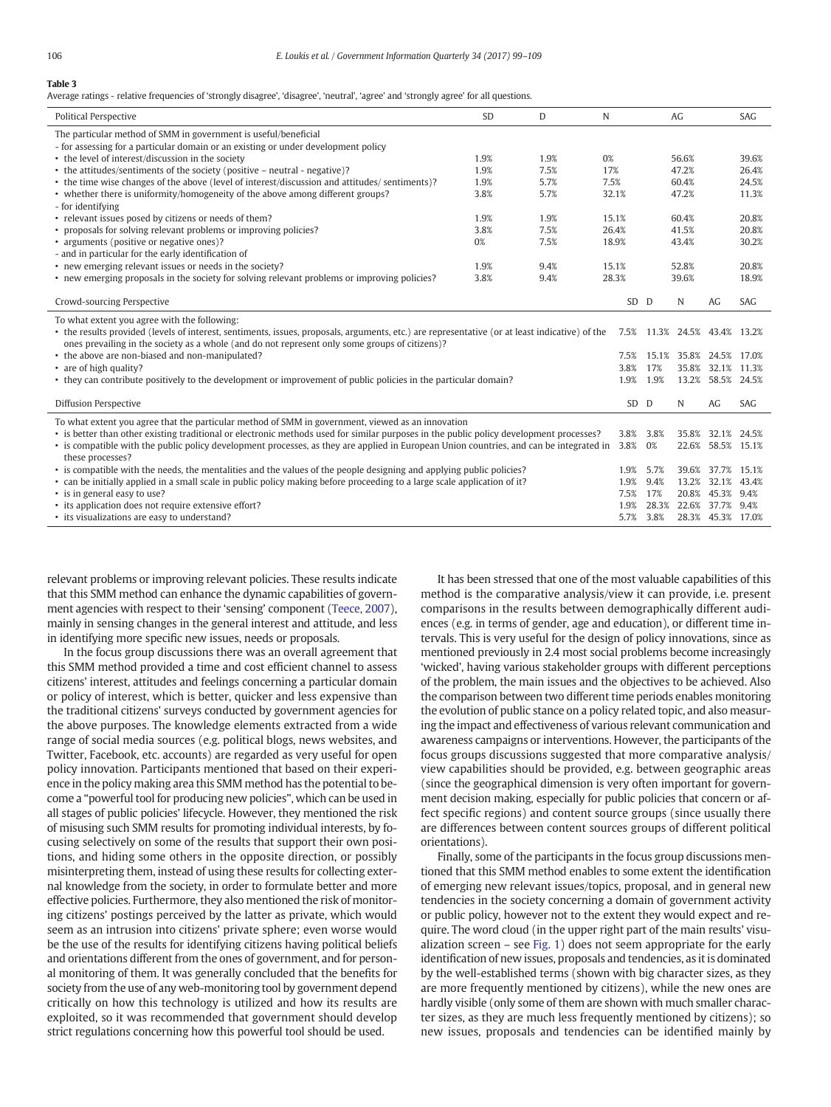#### <span id="page-7-0"></span>Table 3

Average ratings - relative frequencies of 'strongly disagree', 'disagree', 'neutral', 'agree' and 'strongly agree' for all questions.

| <b>Political Perspective</b><br><b>SD</b>                                                                                                      |              | D<br>N |       |               |                              | AGr               |            |
|------------------------------------------------------------------------------------------------------------------------------------------------|--------------|--------|-------|---------------|------------------------------|-------------------|------------|
|                                                                                                                                                |              |        |       |               |                              |                   | <b>SAG</b> |
| The particular method of SMM in government is useful/beneficial                                                                                |              |        |       |               |                              |                   |            |
| - for assessing for a particular domain or an existing or under development policy                                                             |              |        |       |               |                              |                   |            |
| • the level of interest/discussion in the society<br>1.9%<br>1.9%                                                                              |              | 0%     |       | 56.6%         |                              | 39.6%             |            |
| • the attitudes/sentiments of the society (positive - neutral - negative)?<br>7.5%<br>1.9%                                                     |              | 17%    |       | 47.2%         |                              | 26.4%             |            |
| • the time wise changes of the above (level of interest/discussion and attitudes/ sentiments)?<br>1.9%<br>5.7%                                 |              | 7.5%   |       | 60.4%         |                              | 24.5%             |            |
| • whether there is uniformity/homogeneity of the above among different groups?<br>3.8%<br>5.7%                                                 |              | 32.1%  |       | 47.2%         |                              | 11.3%             |            |
| - for identifying                                                                                                                              |              |        |       |               |                              |                   |            |
| • relevant issues posed by citizens or needs of them?<br>1.9%<br>1.9%                                                                          |              | 15.1%  |       | 60.4%         |                              | 20.8%             |            |
| proposals for solving relevant problems or improving policies?                                                                                 | 3.8%<br>7.5% |        | 26.4% |               | 41.5%                        |                   | 20.8%      |
| • arguments (positive or negative ones)?<br>0%<br>7.5%                                                                                         |              | 18.9%  |       | 43.4%         |                              | 30.2%             |            |
| - and in particular for the early identification of                                                                                            |              |        |       |               |                              |                   |            |
| • new emerging relevant issues or needs in the society?                                                                                        | 9.4%<br>1.9% |        | 15.1% |               | 52.8%                        |                   | 20.8%      |
| • new emerging proposals in the society for solving relevant problems or improving policies?                                                   | 3.8%<br>9.4% |        | 28.3% |               | 39.6%                        |                   | 18.9%      |
| Crowd-sourcing Perspective                                                                                                                     |              |        | SD D  |               | N                            | AGr               | SAG        |
|                                                                                                                                                |              |        |       |               |                              |                   |            |
| To what extent you agree with the following:                                                                                                   |              |        |       |               |                              |                   |            |
| • the results provided (levels of interest, sentiments, issues, proposals, arguments, etc.) are representative (or at least indicative) of the |              |        |       |               | 7.5% 11.3% 24.5% 43.4% 13.2% |                   |            |
| ones prevailing in the society as a whole (and do not represent only some groups of citizens)?                                                 |              |        |       |               |                              |                   |            |
| • the above are non-biased and non-manipulated?                                                                                                |              |        | 7.5%  | 15.1%         | 35.8%                        | 24.5% 17.0%       |            |
| • are of high quality?                                                                                                                         |              |        | 3.8%  | 17%           | 35.8%                        | 32.1% 11.3%       |            |
| • they can contribute positively to the development or improvement of public policies in the particular domain?                                |              |        | 1.9%  | 1.9%          |                              | 13.2% 58.5% 24.5% |            |
| <b>Diffusion Perspective</b>                                                                                                                   |              |        |       | SD D          | N                            | AG                | SAG        |
|                                                                                                                                                |              |        |       |               |                              |                   |            |
| To what extent you agree that the particular method of SMM in government, viewed as an innovation                                              |              |        |       |               |                              |                   |            |
| • is better than other existing traditional or electronic methods used for similar purposes in the public policy development processes?        |              |        |       | 3.8%          |                              | 35.8% 32.1% 24.5% |            |
| • is compatible with the public policy development processes, as they are applied in European Union countries, and can be integrated in        |              |        |       | 3.8%<br>$0\%$ |                              | 22.6% 58.5% 15.1% |            |
| these processes?                                                                                                                               |              |        |       |               |                              |                   |            |
| • is compatible with the needs, the mentalities and the values of the people designing and applying public policies?                           |              |        |       | 5.7%          | 39.6%                        | 37.7% 15.1%       |            |
| • can be initially applied in a small scale in public policy making before proceeding to a large scale application of it?                      |              |        |       | 9.4%          | 13.2%                        | 32.1% 43.4%       |            |
| • is in general easy to use?                                                                                                                   |              |        |       | 17%           |                              | 20.8% 45.3% 9.4%  |            |
| • its application does not require extensive effort?                                                                                           |              |        | 1.9%  | 28.3%         |                              | 22.6% 37.7% 9.4%  |            |
| • its visualizations are easy to understand?                                                                                                   |              |        |       | 3.8%          |                              | 28.3% 45.3% 17.0% |            |

relevant problems or improving relevant policies. These results indicate that this SMM method can enhance the dynamic capabilities of government agencies with respect to their 'sensing' component [\(Teece, 2007\)](#page-10-0), mainly in sensing changes in the general interest and attitude, and less in identifying more specific new issues, needs or proposals.

In the focus group discussions there was an overall agreement that this SMM method provided a time and cost efficient channel to assess citizens' interest, attitudes and feelings concerning a particular domain or policy of interest, which is better, quicker and less expensive than the traditional citizens' surveys conducted by government agencies for the above purposes. The knowledge elements extracted from a wide range of social media sources (e.g. political blogs, news websites, and Twitter, Facebook, etc. accounts) are regarded as very useful for open policy innovation. Participants mentioned that based on their experience in the policy making area this SMM method has the potential to become a "powerful tool for producing new policies", which can be used in all stages of public policies' lifecycle. However, they mentioned the risk of misusing such SMM results for promoting individual interests, by focusing selectively on some of the results that support their own positions, and hiding some others in the opposite direction, or possibly misinterpreting them, instead of using these results for collecting external knowledge from the society, in order to formulate better and more effective policies. Furthermore, they also mentioned the risk of monitoring citizens' postings perceived by the latter as private, which would seem as an intrusion into citizens' private sphere; even worse would be the use of the results for identifying citizens having political beliefs and orientations different from the ones of government, and for personal monitoring of them. It was generally concluded that the benefits for society from the use of any web-monitoring tool by government depend critically on how this technology is utilized and how its results are exploited, so it was recommended that government should develop strict regulations concerning how this powerful tool should be used.

It has been stressed that one of the most valuable capabilities of this method is the comparative analysis/view it can provide, i.e. present comparisons in the results between demographically different audiences (e.g. in terms of gender, age and education), or different time intervals. This is very useful for the design of policy innovations, since as mentioned previously in 2.4 most social problems become increasingly 'wicked', having various stakeholder groups with different perceptions of the problem, the main issues and the objectives to be achieved. Also the comparison between two different time periods enables monitoring the evolution of public stance on a policy related topic, and also measuring the impact and effectiveness of various relevant communication and awareness campaigns or interventions. However, the participants of the focus groups discussions suggested that more comparative analysis/ view capabilities should be provided, e.g. between geographic areas (since the geographical dimension is very often important for government decision making, especially for public policies that concern or affect specific regions) and content source groups (since usually there are differences between content sources groups of different political orientations).

Finally, some of the participants in the focus group discussions mentioned that this SMM method enables to some extent the identification of emerging new relevant issues/topics, proposal, and in general new tendencies in the society concerning a domain of government activity or public policy, however not to the extent they would expect and require. The word cloud (in the upper right part of the main results' visualization screen – see [Fig. 1\)](#page-6-0) does not seem appropriate for the early identification of new issues, proposals and tendencies, as it is dominated by the well-established terms (shown with big character sizes, as they are more frequently mentioned by citizens), while the new ones are hardly visible (only some of them are shown with much smaller character sizes, as they are much less frequently mentioned by citizens); so new issues, proposals and tendencies can be identified mainly by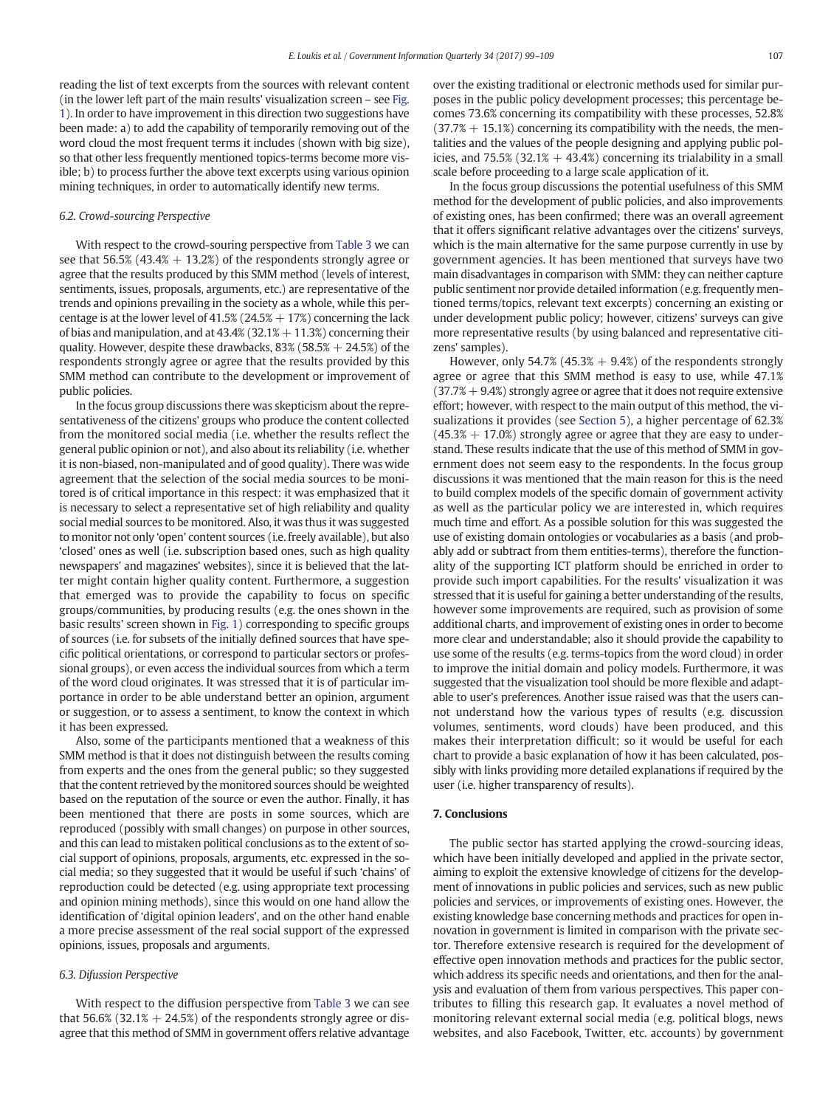<span id="page-8-0"></span>reading the list of text excerpts from the sources with relevant content (in the lower left part of the main results' visualization screen – see [Fig.](#page-6-0) [1\)](#page-6-0). In order to have improvement in this direction two suggestions have been made: a) to add the capability of temporarily removing out of the word cloud the most frequent terms it includes (shown with big size), so that other less frequently mentioned topics-terms become more visible; b) to process further the above text excerpts using various opinion mining techniques, in order to automatically identify new terms.

# 6.2. Crowd-sourcing Perspective

With respect to the crowd-souring perspective from [Table 3](#page-7-0) we can see that  $56.5\%$  ( $43.4\%$  +  $13.2\%$ ) of the respondents strongly agree or agree that the results produced by this SMM method (levels of interest, sentiments, issues, proposals, arguments, etc.) are representative of the trends and opinions prevailing in the society as a whole, while this percentage is at the lower level of 41.5% ( $24.5% + 17%$ ) concerning the lack of bias and manipulation, and at  $43.4\%$  ( $32.1\% + 11.3\%$ ) concerning their quality. However, despite these drawbacks,  $83\%$  ( $58.5\%$  +  $24.5\%$ ) of the respondents strongly agree or agree that the results provided by this SMM method can contribute to the development or improvement of public policies.

In the focus group discussions there was skepticism about the representativeness of the citizens' groups who produce the content collected from the monitored social media (i.e. whether the results reflect the general public opinion or not), and also about its reliability (i.e. whether it is non-biased, non-manipulated and of good quality). There was wide agreement that the selection of the social media sources to be monitored is of critical importance in this respect: it was emphasized that it is necessary to select a representative set of high reliability and quality social medial sources to be monitored. Also, it was thus it was suggested to monitor not only 'open' content sources (i.e. freely available), but also 'closed' ones as well (i.e. subscription based ones, such as high quality newspapers' and magazines' websites), since it is believed that the latter might contain higher quality content. Furthermore, a suggestion that emerged was to provide the capability to focus on specific groups/communities, by producing results (e.g. the ones shown in the basic results' screen shown in [Fig. 1\)](#page-6-0) corresponding to specific groups of sources (i.e. for subsets of the initially defined sources that have specific political orientations, or correspond to particular sectors or professional groups), or even access the individual sources from which a term of the word cloud originates. It was stressed that it is of particular importance in order to be able understand better an opinion, argument or suggestion, or to assess a sentiment, to know the context in which it has been expressed.

Also, some of the participants mentioned that a weakness of this SMM method is that it does not distinguish between the results coming from experts and the ones from the general public; so they suggested that the content retrieved by the monitored sources should be weighted based on the reputation of the source or even the author. Finally, it has been mentioned that there are posts in some sources, which are reproduced (possibly with small changes) on purpose in other sources, and this can lead to mistaken political conclusions as to the extent of social support of opinions, proposals, arguments, etc. expressed in the social media; so they suggested that it would be useful if such 'chains' of reproduction could be detected (e.g. using appropriate text processing and opinion mining methods), since this would on one hand allow the identification of 'digital opinion leaders', and on the other hand enable a more precise assessment of the real social support of the expressed opinions, issues, proposals and arguments.

# 6.3. Difussion Perspective

With respect to the diffusion perspective from [Table 3](#page-7-0) we can see that 56.6% (32.1%  $+$  24.5%) of the respondents strongly agree or disagree that this method of SMM in government offers relative advantage over the existing traditional or electronic methods used for similar purposes in the public policy development processes; this percentage becomes 73.6% concerning its compatibility with these processes, 52.8%  $(37.7% + 15.1%)$  concerning its compatibility with the needs, the mentalities and the values of the people designing and applying public policies, and  $75.5\%$  (32.1% + 43.4%) concerning its trialability in a small scale before proceeding to a large scale application of it.

In the focus group discussions the potential usefulness of this SMM method for the development of public policies, and also improvements of existing ones, has been confirmed; there was an overall agreement that it offers significant relative advantages over the citizens' surveys, which is the main alternative for the same purpose currently in use by government agencies. It has been mentioned that surveys have two main disadvantages in comparison with SMM: they can neither capture public sentiment nor provide detailed information (e.g. frequently mentioned terms/topics, relevant text excerpts) concerning an existing or under development public policy; however, citizens' surveys can give more representative results (by using balanced and representative citizens' samples).

However, only 54.7% (45.3%  $+$  9.4%) of the respondents strongly agree or agree that this SMM method is easy to use, while 47.1%  $(37.7% + 9.4%)$  strongly agree or agree that it does not require extensive effort; however, with respect to the main output of this method, the visualizations it provides (see [Section 5\)](#page-5-0), a higher percentage of 62.3%  $(45.3% + 17.0%)$  strongly agree or agree that they are easy to understand. These results indicate that the use of this method of SMM in government does not seem easy to the respondents. In the focus group discussions it was mentioned that the main reason for this is the need to build complex models of the specific domain of government activity as well as the particular policy we are interested in, which requires much time and effort. As a possible solution for this was suggested the use of existing domain ontologies or vocabularies as a basis (and probably add or subtract from them entities-terms), therefore the functionality of the supporting ICT platform should be enriched in order to provide such import capabilities. For the results' visualization it was stressed that it is useful for gaining a better understanding of the results, however some improvements are required, such as provision of some additional charts, and improvement of existing ones in order to become more clear and understandable; also it should provide the capability to use some of the results (e.g. terms-topics from the word cloud) in order to improve the initial domain and policy models. Furthermore, it was suggested that the visualization tool should be more flexible and adaptable to user's preferences. Another issue raised was that the users cannot understand how the various types of results (e.g. discussion volumes, sentiments, word clouds) have been produced, and this makes their interpretation difficult; so it would be useful for each chart to provide a basic explanation of how it has been calculated, possibly with links providing more detailed explanations if required by the user (i.e. higher transparency of results).

# 7. Conclusions

The public sector has started applying the crowd-sourcing ideas, which have been initially developed and applied in the private sector, aiming to exploit the extensive knowledge of citizens for the development of innovations in public policies and services, such as new public policies and services, or improvements of existing ones. However, the existing knowledge base concerning methods and practices for open innovation in government is limited in comparison with the private sector. Therefore extensive research is required for the development of effective open innovation methods and practices for the public sector, which address its specific needs and orientations, and then for the analysis and evaluation of them from various perspectives. This paper contributes to filling this research gap. It evaluates a novel method of monitoring relevant external social media (e.g. political blogs, news websites, and also Facebook, Twitter, etc. accounts) by government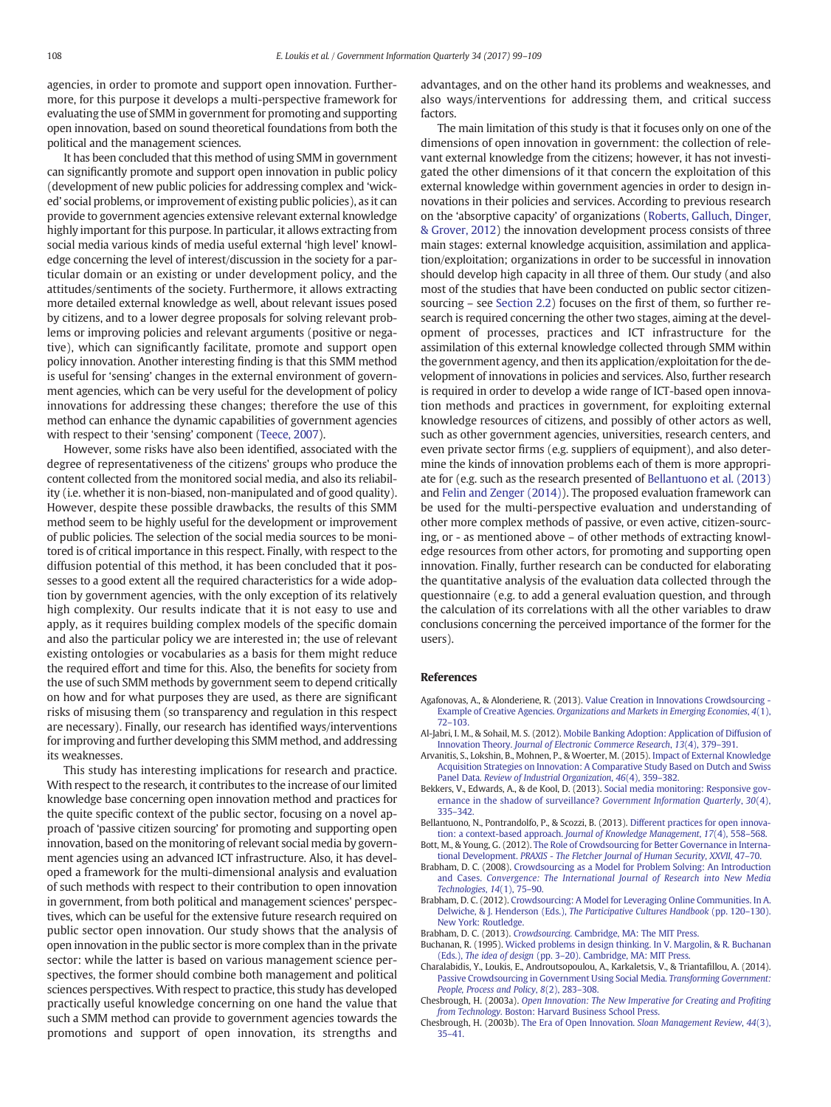<span id="page-9-0"></span>agencies, in order to promote and support open innovation. Furthermore, for this purpose it develops a multi-perspective framework for evaluating the use of SMM in government for promoting and supporting open innovation, based on sound theoretical foundations from both the political and the management sciences.

It has been concluded that this method of using SMM in government can significantly promote and support open innovation in public policy (development of new public policies for addressing complex and 'wicked' social problems, or improvement of existing public policies), as it can provide to government agencies extensive relevant external knowledge highly important for this purpose. In particular, it allows extracting from social media various kinds of media useful external 'high level' knowledge concerning the level of interest/discussion in the society for a particular domain or an existing or under development policy, and the attitudes/sentiments of the society. Furthermore, it allows extracting more detailed external knowledge as well, about relevant issues posed by citizens, and to a lower degree proposals for solving relevant problems or improving policies and relevant arguments (positive or negative), which can significantly facilitate, promote and support open policy innovation. Another interesting finding is that this SMM method is useful for 'sensing' changes in the external environment of government agencies, which can be very useful for the development of policy innovations for addressing these changes; therefore the use of this method can enhance the dynamic capabilities of government agencies with respect to their 'sensing' component ([Teece, 2007](#page-10-0)).

However, some risks have also been identified, associated with the degree of representativeness of the citizens' groups who produce the content collected from the monitored social media, and also its reliability (i.e. whether it is non-biased, non-manipulated and of good quality). However, despite these possible drawbacks, the results of this SMM method seem to be highly useful for the development or improvement of public policies. The selection of the social media sources to be monitored is of critical importance in this respect. Finally, with respect to the diffusion potential of this method, it has been concluded that it possesses to a good extent all the required characteristics for a wide adoption by government agencies, with the only exception of its relatively high complexity. Our results indicate that it is not easy to use and apply, as it requires building complex models of the specific domain and also the particular policy we are interested in; the use of relevant existing ontologies or vocabularies as a basis for them might reduce the required effort and time for this. Also, the benefits for society from the use of such SMM methods by government seem to depend critically on how and for what purposes they are used, as there are significant risks of misusing them (so transparency and regulation in this respect are necessary). Finally, our research has identified ways/interventions for improving and further developing this SMM method, and addressing its weaknesses.

This study has interesting implications for research and practice. With respect to the research, it contributes to the increase of our limited knowledge base concerning open innovation method and practices for the quite specific context of the public sector, focusing on a novel approach of 'passive citizen sourcing' for promoting and supporting open innovation, based on the monitoring of relevant social media by government agencies using an advanced ICT infrastructure. Also, it has developed a framework for the multi-dimensional analysis and evaluation of such methods with respect to their contribution to open innovation in government, from both political and management sciences' perspectives, which can be useful for the extensive future research required on public sector open innovation. Our study shows that the analysis of open innovation in the public sector is more complex than in the private sector: while the latter is based on various management science perspectives, the former should combine both management and political sciences perspectives. With respect to practice, this study has developed practically useful knowledge concerning on one hand the value that such a SMM method can provide to government agencies towards the promotions and support of open innovation, its strengths and

advantages, and on the other hand its problems and weaknesses, and also ways/interventions for addressing them, and critical success factors.

The main limitation of this study is that it focuses only on one of the dimensions of open innovation in government: the collection of relevant external knowledge from the citizens; however, it has not investigated the other dimensions of it that concern the exploitation of this external knowledge within government agencies in order to design innovations in their policies and services. According to previous research on the 'absorptive capacity' of organizations ([Roberts, Galluch, Dinger,](#page-10-0) [& Grover, 2012\)](#page-10-0) the innovation development process consists of three main stages: external knowledge acquisition, assimilation and application/exploitation; organizations in order to be successful in innovation should develop high capacity in all three of them. Our study (and also most of the studies that have been conducted on public sector citizensourcing – see [Section 2.2](#page-2-0)) focuses on the first of them, so further research is required concerning the other two stages, aiming at the development of processes, practices and ICT infrastructure for the assimilation of this external knowledge collected through SMM within the government agency, and then its application/exploitation for the development of innovations in policies and services. Also, further research is required in order to develop a wide range of ICT-based open innovation methods and practices in government, for exploiting external knowledge resources of citizens, and possibly of other actors as well, such as other government agencies, universities, research centers, and even private sector firms (e.g. suppliers of equipment), and also determine the kinds of innovation problems each of them is more appropriate for (e.g. such as the research presented of Bellantuono et al. (2013) and [Felin and Zenger \(2014\)\)](#page-10-0). The proposed evaluation framework can be used for the multi-perspective evaluation and understanding of other more complex methods of passive, or even active, citizen-sourcing, or - as mentioned above – of other methods of extracting knowledge resources from other actors, for promoting and supporting open innovation. Finally, further research can be conducted for elaborating the quantitative analysis of the evaluation data collected through the questionnaire (e.g. to add a general evaluation question, and through the calculation of its correlations with all the other variables to draw conclusions concerning the perceived importance of the former for the users).

#### References

- Agafonovas, A., & Alonderiene, R. (2013). [Value Creation in Innovations Crowdsourcing -](http://refhub.elsevier.com/S0740-624X(16)30177-0/rf0005) Example of Creative Agencies. [Organizations and Markets in Emerging Economies](http://refhub.elsevier.com/S0740-624X(16)30177-0/rf0005), 4(1), 72–[103.](http://refhub.elsevier.com/S0740-624X(16)30177-0/rf0005)
- Al-Jabri, I. M., & Sohail, M. S. (2012). [Mobile Banking Adoption: Application of Diffusion of](http://refhub.elsevier.com/S0740-624X(16)30177-0/rf0010) Innovation Theory. [Journal of Electronic Commerce Research](http://refhub.elsevier.com/S0740-624X(16)30177-0/rf0010), 13(4), 379–391.
- Arvanitis, S., Lokshin, B., Mohnen, P., & Woerter, M. (2015). [Impact of External Knowledge](http://refhub.elsevier.com/S0740-624X(16)30177-0/rf0015) [Acquisition Strategies on Innovation: A Comparative Study Based on Dutch and Swiss](http://refhub.elsevier.com/S0740-624X(16)30177-0/rf0015) Panel Data. [Review of Industrial Organization](http://refhub.elsevier.com/S0740-624X(16)30177-0/rf0015), 46(4), 359–382.
- Bekkers, V., Edwards, A., & de Kool, D. (2013). [Social media monitoring: Responsive gov](http://refhub.elsevier.com/S0740-624X(16)30177-0/rf0020)[ernance in the shadow of surveillance?](http://refhub.elsevier.com/S0740-624X(16)30177-0/rf0020) Government Information Quarterly, 30(4), 335–[342.](http://refhub.elsevier.com/S0740-624X(16)30177-0/rf0020)
- Bellantuono, N., Pontrandolfo, P., & Scozzi, B. (2013). [Different practices for open innova](http://refhub.elsevier.com/S0740-624X(16)30177-0/rf0025)tion: a context-based approach. [Journal of Knowledge Management](http://refhub.elsevier.com/S0740-624X(16)30177-0/rf0025), 17(4), 558–568.
- Bott, M., & Young, G. (2012). [The Role of Crowdsourcing for Better Governance in Interna](http://refhub.elsevier.com/S0740-624X(16)30177-0/rf0030)tional Development. [PRAXIS - The Fletcher Journal of Human Security](http://refhub.elsevier.com/S0740-624X(16)30177-0/rf0030), XXVII, 47–70.
- Brabham, D. C. (2008). [Crowdsourcing as a Model for Problem Solving: An Introduction](http://refhub.elsevier.com/S0740-624X(16)30177-0/rf0035) and Cases. [Convergence: The International Journal of Research into New Media](http://refhub.elsevier.com/S0740-624X(16)30177-0/rf0035) [Technologies](http://refhub.elsevier.com/S0740-624X(16)30177-0/rf0035), 14(1), 75–90.
- Brabham, D. C. (2012). [Crowdsourcing: A Model for Leveraging Online Communities. In A.](http://refhub.elsevier.com/S0740-624X(16)30177-0/rf0040) Delwiche, & J. Henderson (Eds.), [The Participative Cultures Handbook](http://refhub.elsevier.com/S0740-624X(16)30177-0/rf0040) (pp. 120–130). [New York: Routledge.](http://refhub.elsevier.com/S0740-624X(16)30177-0/rf0040)
- Brabham, D. C. (2013). Crowdsourcing. [Cambridge, MA: The MIT Press.](http://refhub.elsevier.com/S0740-624X(16)30177-0/rf0045)
- Buchanan, R. (1995). [Wicked problems in design thinking. In V. Margolin, & R. Buchanan](http://refhub.elsevier.com/S0740-624X(16)30177-0/rf0050) (Eds.), The idea of design (pp. 3–[20\). Cambridge, MA: MIT Press.](http://refhub.elsevier.com/S0740-624X(16)30177-0/rf0050)
- Charalabidis, Y., Loukis, E., Androutsopoulou, A., Karkaletsis, V., & Triantafillou, A. (2014). [Passive Crowdsourcing in Government Using Social Media.](http://refhub.elsevier.com/S0740-624X(16)30177-0/rf0055) Transforming Government: [People, Process and Policy](http://refhub.elsevier.com/S0740-624X(16)30177-0/rf0055), 8(2), 283–308.
- Chesbrough, H. (2003a). [Open Innovation: The New Imperative for Creating and Pro](http://refhub.elsevier.com/S0740-624X(16)30177-0/rf0060)fiting from Technology. [Boston: Harvard Business School Press.](http://refhub.elsevier.com/S0740-624X(16)30177-0/rf0060)
- Chesbrough, H. (2003b). [The Era of Open Innovation.](http://refhub.elsevier.com/S0740-624X(16)30177-0/rf0065) Sloan Management Review, 44(3), 35–[41.](http://refhub.elsevier.com/S0740-624X(16)30177-0/rf0065)